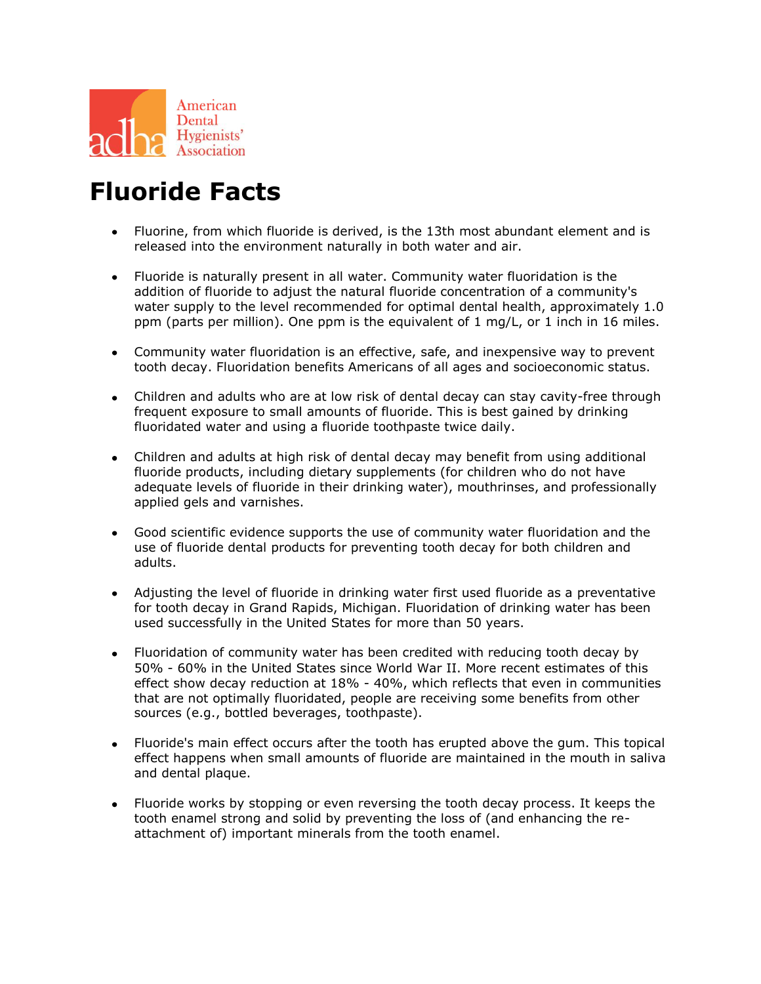

## **Fluoride Facts**

- Fluorine, from which fluoride is derived, is the 13th most abundant element and is released into the environment naturally in both water and air.
- Fluoride is naturally present in all water. Community water fluoridation is the addition of fluoride to adjust the natural fluoride concentration of a community's water supply to the level recommended for optimal dental health, approximately 1.0 ppm (parts per million). One ppm is the equivalent of 1 mg/L, or 1 inch in 16 miles.
- Community water fluoridation is an effective, safe, and inexpensive way to prevent tooth decay. Fluoridation benefits Americans of all ages and socioeconomic status.
- Children and adults who are at low risk of dental decay can stay cavity-free through frequent exposure to small amounts of fluoride. This is best gained by drinking fluoridated water and using a fluoride toothpaste twice daily.
- Children and adults at high risk of dental decay may benefit from using additional fluoride products, including dietary supplements (for children who do not have adequate levels of fluoride in their drinking water), mouthrinses, and professionally applied gels and varnishes.
- Good scientific evidence supports the use of community water fluoridation and the use of fluoride dental products for preventing tooth decay for both children and adults.
- Adjusting the level of fluoride in drinking water first used fluoride as a preventative for tooth decay in Grand Rapids, Michigan. Fluoridation of drinking water has been used successfully in the United States for more than 50 years.
- Fluoridation of community water has been credited with reducing tooth decay by 50% - 60% in the United States since World War II. More recent estimates of this effect show decay reduction at 18% - 40%, which reflects that even in communities that are not optimally fluoridated, people are receiving some benefits from other sources (e.g., bottled beverages, toothpaste).
- Fluoride's main effect occurs after the tooth has erupted above the gum. This topical effect happens when small amounts of fluoride are maintained in the mouth in saliva and dental plaque.
- Fluoride works by stopping or even reversing the tooth decay process. It keeps the tooth enamel strong and solid by preventing the loss of (and enhancing the reattachment of) important minerals from the tooth enamel.